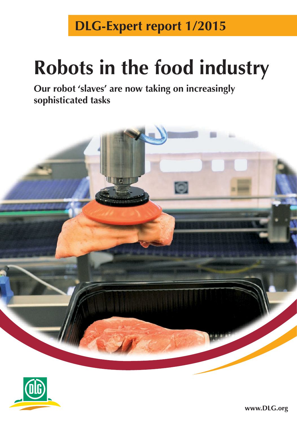**DLG-Expert report 1/2015**

# **Robots in the food industry**

**Our robot 'slaves' are now taking on increasingly sophisticated tasks**





**www.DLG.org**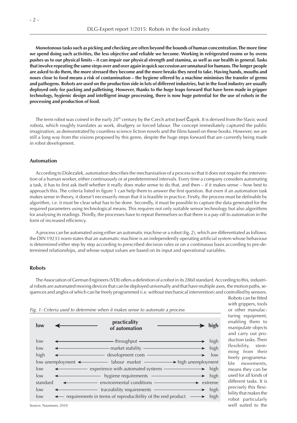**Monotonous tasks such as picking and checking are often beyond the bounds of human concentration. The more time we spend doing such activities, the less objective and reliable we become. Working in refrigerated rooms or by ovens pushes us to our physical limits – it can impair our physical strength and stamina, as well as our health in general. Tasks that involve repeating the same steps over and over again in quick succession are unnatural for humans. The longer people are asked to do them, the more stressed they become and the more breaks they need to take. Having hands, mouths and noses close to food means a risk of contamination – the hygiene offered by a machine minimises the transfer of germs and pathogens. Robots are used on the production side in lots of different industries, but in the food industry are usually deployed only for packing and palletising. However, thanks to the huge leaps forward that have been made in gripper technology, hygienic design and intelligent image processing, there is now huge potential for the use of robots in the processing and production of food.** 

The term robot was coined in the early 20<sup>th</sup> century by the Czech artist Josef Čapek. It is derived from the Slavic word *robota*, which roughly translates as work, drudgery or forced labour. The concept immediately captured the public imagination, as demonstrated by countless science fiction novels and the films based on these books. However, we are still a long way from the visions proposed by this genre, despite the huge steps forward that are currently being made in robot development.

## **Automation**

According to Dolezalek, automation describes the mechanisation of a process so that it does not require the intervention of a human worker, either continuously or at predetermined intervals. Every time a company considers automating a task, it has to first ask itself whether it really does make sense to do that, and then – if it makes sense – how best to approach this. The criteria listed in figure 1 can help them to answer the first question. But even if an automation task makes sense in theory, it doesn't necessarily mean that it is feasible in practice. Firstly, the process must be definable by algorithm, i.e. it must be clear what has to be done. Secondly, it must be possible to capture the data generated for the required parameters using technological means. This requires not only suitable sensor technology but also algorithms for analysing its readings. Thirdly, the processes have to repeat themselves so that there is a pay-off to automation in the form of increased efficiency.

A process can be automated using either an automatic machine or a robot (fig. 2), which are differentiated as follows: the DIN 19233 norm states that an automatic machine is an independently operating artificial system whose behaviour is determined either step by step according to prescribed decision rules or on a continuous basis according to pre-determined relationships, and whose output values are based on its input and operational variables.

## **Robots**

The Association of German Engineers (VDI) offers a definition of a robot in its 2860 standard. According to this, industrial robots are automated moving devices that can be deployed universally and that have multiple axes, the motion paths, sequences and angles of which can be freely programmed (i.e. without mechanical intervention) and controlled by sensors.



Robots can be fitted with grippers, tools or other manufacturing equipment, enabling them to manipulate objects and carry out production tasks. Their flexibility, stemming from their freely programmable movements, means they can be used for all kinds of different tasks. It is precisely this flexibility that makes the robot particularly well suited to the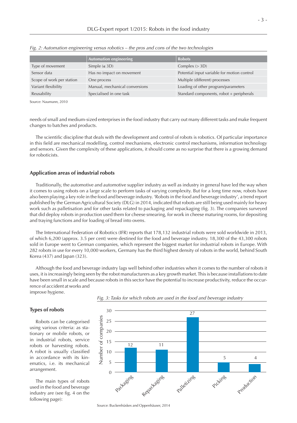|                           | <b>Automation engineering</b>  | <b>Robots</b>                               |
|---------------------------|--------------------------------|---------------------------------------------|
| Type of movement          | Simple $(\leq 3D)$             | Complex $(>3D)$                             |
| Sensor data               | Has no impact on movement      | Potential input variable for motion control |
| Scope of work per station | One process                    | Multiple (different) processes              |
| Variant flexibility       | Manual, mechanical conversions | Loading of other program/parameters         |
| Reusability               | Specialised in one task        | Standard components, robot + peripherals    |

*Fig. 2: Automation engineering versus robotics – the pros and cons of the two technologies*

Source: Naumann, 2010

needs of small and medium-sized enterprises in the food industry that carry out many different tasks and make frequent changes to batches and products.

The scientific discipline that deals with the development and control of robots is robotics. Of particular importance in this field are mechanical modelling, control mechanisms, electronic control mechanisms, information technology and sensors. Given the complexity of these applications, it should come as no surprise that there is a growing demand for roboticists.

## **Application areas of industrial robots**

Traditionally, the automotive and automotive supplier industry as well as industry in general have led the way when it comes to using robots on a large scale to perform tasks of varying complexity. But for a long time now, robots have also been playing a key role in the food and beverage industry. 'Robots in the food and beverage industry', a trend report published by the German Agricultural Society (DLG) in 2014, indicated that robots are still being used mainly for heavy work such as palletisation and for other tasks related to packaging and repackaging (fig. 3). The companies surveyed that did deploy robots in production used them for cheese smearing, for work in cheese maturing rooms, for depositing and traying functions and for loading of bread into ovens.

The International Federation of Robotics (IFR) reports that 178,132 industrial robots were sold worldwide in 2013, of which 6,200 (approx. 3.5 per cent) were destined for the food and beverage industry. 18,300 of the 43,300 robots sold in Europe went to German companies, which represent the biggest market for industrial robots in Europe. With 282 robots in use for every 10,000 workers, Germany has the third highest density of robots in the world, behind South Korea (437) and Japan (323).

Although the food and beverage industry lags well behind other industries when it comes to the number of robots it uses, it is increasingly being seen by the robot manufacturers as a key growth market. This is because installations to date have been small in scale and because robots in this sector have the potential to increase productivity, reduce the occurrence of accident at works and improve hygiene.

## **Types of robots**

Robots can be categorised using various criteria: as stationary or mobile robots, or in industrial robots, service robots or harvesting robots. A robot is usually classified in accordance with its kinematics, i.e. its mechanical arrangement.

The main types of robots used in the food and beverage industry are (see fig. 4 on the following page):



*Fig. 3: Tasks for which robots are used in the food and beverage industry*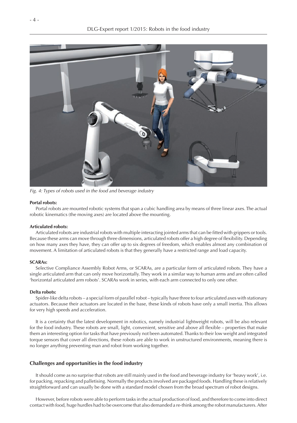

*Fig. 4: Types of robots used in the food and beverage industry*

#### **Portal robots:**

Portal robots are mounted robotic systems that span a cubic handling area by means of three linear axes. The actual robotic kinematics (the moving axes) are located above the mounting.

#### **Articulated robots:**

Articulated robots are industrial robots with multiple interacting jointed arms that can be fitted with grippers or tools. Because these arms can move through three dimensions, articulated robots offer a high degree of flexibility. Depending on how many axes they have, they can offer up to six degrees of freedom, which enables almost any combination of movement. A limitation of articulated robots is that they generally have a restricted range and load capacity.

#### **SCARAs:**

Selective Compliance Assembly Robot Arms, or SCARAs, are a particular form of articulated robots. They have a single articulated arm that can only move horizontally. They work in a similar way to human arms and are often called 'horizontal articulated arm robots'. SCARAs work in series, with each arm connected to only one other.

#### **Delta robots:**

Spider-like delta robots – a special form of parallel robot – typically have three to four articulated axes with stationary actuators. Because their actuators are located in the base, these kinds of robots have only a small inertia. This allows for very high speeds and acceleration.

It is a certainty that the latest development in robotics, namely industrial lightweight robots, will be also relevant for the food industry. These robots are small, light, convenient, sensitive and above all flexible – properties that make them an interesting option for tasks that have previously not been automated. Thanks to their low weight and integrated torque sensors that cover all directions, these robots are able to work in unstructured environments, meaning there is no longer anything preventing man and robot from working together.

#### **Challenges and opportunities in the food industry**

It should come as no surprise that robots are still mainly used in the food and beverage industry for 'heavy work', i.e. for packing, repacking and palletising. Normally the products involved are packaged foods. Handling these is relatively straightforward and can usually be done with a standard model chosen from the broad spectrum of robot designs.

However, before robots were able to perform tasks in the actual production of food, and therefore to come into direct contact with food, huge hurdles had to be overcome that also demanded a re-think among the robot manufacturers. After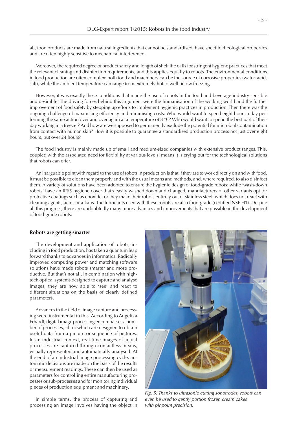all, food products are made from natural ingredients that cannot be standardised, have specific rheological properties and are often highly sensitive to mechanical interference.

Moreover, the required degree of product safety and length of shelf life calls for stringent hygiene practices that meet the relevant cleaning and disinfection requirements, and this applies equally to robots. The environmental conditions in food production are often complex: both food and machinery can be the source of corrosive properties (water, acid, salt), while the ambient temperature can range from extremely hot to well below freezing.

However, it was exactly these conditions that made the use of robots in the food and beverage industry sensible and desirable. The driving forces behind this argument were the humanisation of the working world and the further improvement of food safety by stepping up efforts to implement hygienic practices in production. Then there was the ongoing challenge of maximising efficiency and minimising costs. Who would want to spend eight hours a day performing the same action over and over again at a temperature of 8  $^{\circ}$ C? Who would want to spend the best part of their day working in a freezer? And how are we supposed to permanently exclude the potential for microbial contamination from contact with human skin? How it is possible to guarantee a standardised production process not just over eight hours, but over 24 hours?

The food industry is mainly made up of small and medium-sized companies with extensive product ranges. This, coupled with the associated need for flexibility at various levels, means it is crying out for the technological solutions that robots can offer.

An inarguable point with regard to the use of robots in production is that if they are to work directly on and with food, it must be possible to clean them properly and with the usual means and methods, and, where required, to also disinfect them. A variety of solutions have been adopted to ensure the hygienic design of food-grade robots: while 'wash-down robots' have an IP65 hygiene cover that's easily washed down and changed, manufacturers of other variants opt for protective coatings such as epoxide, or they make their robots entirely out of stainless steel, which does not react with cleaning agents, acids or alkalis. The lubricants used with these robots are also food-grade (certified NSF H1). Despite all this progress, there are undoubtedly many more advances and improvements that are possible in the development of food-grade robots.

#### **Robots are getting smarter**

The development and application of robots, including in food production, has taken a quantum leap forward thanks to advances in informatics. Radically improved computing power and matching software solutions have made robots smarter and more productive. But that's not all. In combination with hightech optical systems designed to capture and analyse images, they are now able to 'see' and react to different situations on the basis of clearly defined parameters.

Advances in the field of image capture and processing were instrumental in this. According to Angelika Erhardt, digital image processing encompasses a number of processes, all of which are designed to obtain useful data from a picture or sequence of pictures. In an industrial context, real-time images of actual processes are captured through contactless means, visually represented and automatically analysed. At the end of an industrial image processing cycle, automatic decisions are made on the basis of the results or measurement readings. These can then be used as parameters for controlling entire manufacturing processes or sub-processes and for monitoring individual pieces of production equipment and machinery.

In simple terms, the process of capturing and processing an image involves having the object in



*Fig. 5: Thanks to ultrasonic cutting sonotrodes, robots can even be used to gently portion frozen cream cakes with pinpoint precision.*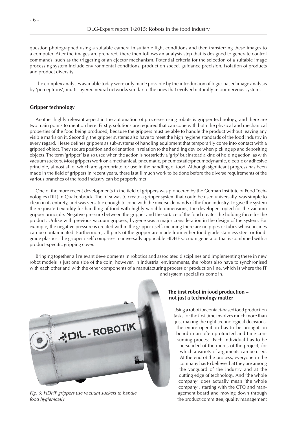question photographed using a suitable camera in suitable light conditions and then transferring these images to a computer. After the images are prepared, there then follows an analysis step that is designed to generate control commands, such as the triggering of an ejector mechanism. Potential criteria for the selection of a suitable image processing system include environmental conditions, production speed, guidance precision, isolation of products and product diversity.

The complex analyses available today were only made possible by the introduction of logic-based image analysis by 'perceptrons', multi-layered neural networks similar to the ones that evolved naturally in our nervous systems.

## **Gripper technology**

Another highly relevant aspect in the automation of processes using robots is gripper technology, and there are two main points to mention here. Firstly, solutions are required that can cope with both the physical and mechanical properties of the food being produced, because the grippers must be able to handle the product without leaving any visible marks on it. Secondly, the gripper systems also have to meet the high hygiene standards of the food industry in every regard. Hesse defines grippers as sub-systems of handling equipment that temporarily come into contact with a gripped object. They secure position and orientation in relation to the handling device when picking up and depositing objects. The term 'gripper' is also used when the action is not strictly a 'grip' but instead a kind of holding action, as with vacuum suckers. Most grippers work on a mechanical, pneumatic, pneumostatic/pneumodynamic, electric or adhesive principle, almost all of which are appropriate for use in the handling of food. Although significant progress has been made in the field of grippers in recent years, there is still much work to be done before the diverse requirements of the various branches of the food industry can be properly met.

One of the more recent developments in the field of grippers was pioneered by the German Institute of Food Technologies (DIL) in Quakenbrück. The idea was to create a gripper system that could be used universally, was simple to clean in its entirety, and was versatile enough to cope with the diverse demands of the food industry. To give the system the requisite flexibility for handling of food with highly variable dimensions, the developers opted for the vacuum gripper principle. Negative pressure between the gripper and the surface of the food creates the holding force for the product. Unlike with previous vacuum grippers, hygiene was a major consideration in the design of the system. For example, the negative pressure is created within the gripper itself, meaning there are no pipes or tubes whose insides can be contaminated. Furthermore, all parts of the gripper are made from either food-grade stainless steel or foodgrade plastics. The gripper itself comprises a universally applicable HDHF vacuum generator that is combined with a product-specific gripping cover.

Bringing together all relevant developments in robotics and associated disciplines and implementing these in new robot models is just one side of the coin, however. In industrial environments, the robots also have to synchronised with each other and with the other components of a manufacturing process or production line, which is where the IT and system specialists come in.



*Fig. 6: HDHF grippers use vacuum suckers to handle food hygienically*

## **The first robot in food production – not just a technology matter**

Using a robot for contact-based food production tasks for the first time involves much more than just making the right technological decisions. The entire operation has to be brought on board in an often protracted and time-consuming process. Each individual has to be persuaded of the merits of the project, for which a variety of arguments can be used. At the end of the process, everyone in the company has to believe that they are among the vanguard of the industry and at the cutting edge of technology. And 'the whole company' does actually mean 'the whole company', starting with the CTO and management board and moving down through the product committee, quality management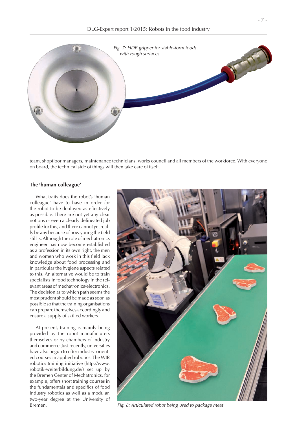

team, shopfloor managers, maintenance technicians, works council and all members of the workforce. With everyone on board, the technical side of things will then take care of itself.

## **The 'human colleague'**

What traits does the robot's 'human colleague' have to have in order for the robot to be deployed as effectively as possible. There are not yet any clear notions or even a clearly delineated job profile for this, and there cannot yet really be any because of how young the field still is. Although the role of mechatronics engineer has now become established as a profession in its own right, the men and women who work in this field lack knowledge about food processing and in particular the hygiene aspects related to this. An alternative would be to train specialists in food technology in the relevant areas of mechatronics/electronics. The decision as to which path seems the most prudent should be made as soon as possible so that the training organisations can prepare themselves accordingly and ensure a supply of skilled workers.

At present, training is mainly being provided by the robot manufacturers themselves or by chambers of industry and commerce. Just recently, universities have also begun to offer industry-oriented courses in applied robotics. The WIR robotics training initiative (http://www. robotik-weiterbildung.de/) set up by the Bremen Center of Mechatronics, for example, offers short training courses in the fundamentals and specifics of food industry robotics as well as a modular, two-year degree at the University of Bremen.



*Fig. 8: Articulated robot being used to package meat*